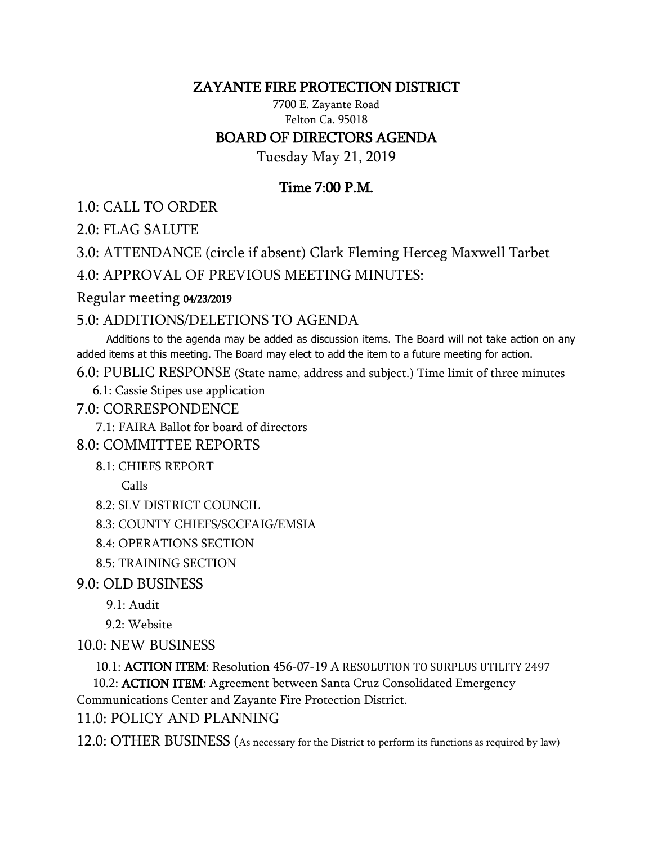## ZAYANTE FIRE PROTECTION DISTRICT

7700 E. Zayante Road Felton Ca. 95018 BOARD OF DIRECTORS AGENDA

Tuesday May 21, 2019

# Time 7:00 P.M.

1.0: CALL TO ORDER

2.0: FLAG SALUTE

3.0: ATTENDANCE (circle if absent) Clark Fleming Herceg Maxwell Tarbet

4.0: APPROVAL OF PREVIOUS MEETING MINUTES:

#### Regular meeting 04/23/2019

## 5.0: ADDITIONS/DELETIONS TO AGENDA

 Additions to the agenda may be added as discussion items. The Board will not take action on any added items at this meeting. The Board may elect to add the item to a future meeting for action.

6.0: PUBLIC RESPONSE (State name, address and subject.) Time limit of three minutes

6.1: Cassie Stipes use application

7.0: CORRESPONDENCE

7.1: FAIRA Ballot for board of directors

## 8.0: COMMITTEE REPORTS

8.1: CHIEFS REPORT

Calls

8.2: SLV DISTRICT COUNCIL

8.3: COUNTY CHIEFS/SCCFAIG/EMSIA

8.4: OPERATIONS SECTION

8.5: TRAINING SECTION

9.0: OLD BUSINESS

9.1: Audit

9.2: Website

10.0: NEW BUSINESS

10.1: ACTION ITEM: Resolution 456-07-19 A RESOLUTION TO SURPLUS UTILITY 2497

10.2: **ACTION ITEM**: Agreement between Santa Cruz Consolidated Emergency

Communications Center and Zayante Fire Protection District.

11.0: POLICY AND PLANNING

12.0: OTHER BUSINESS (As necessary for the District to perform its functions as required by law)